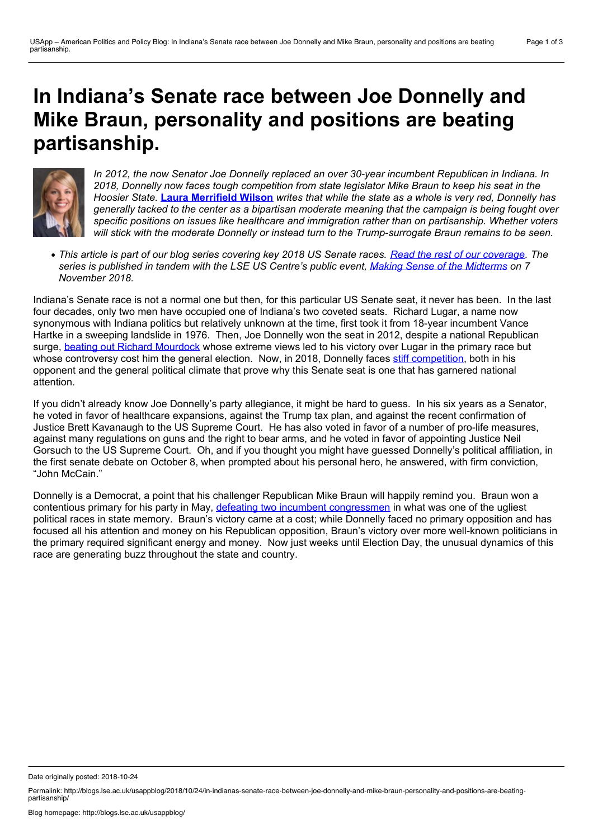## **In Indiana's Senate race between Joe Donnelly and Mike Braun, personality and positions are beating partisanship.**



*In 2012, the now Senator Joe Donnelly replaced an over 30-year incumbent Republican in Indiana. In 2018, Donnelly now faces tough competition from state legislator Mike Braun to keep his seat in the* Hoosier State. Laura [Merrifield](https://wp.me/p3I2YF-8fy#Author) Wilson writes that while the state as a whole is very red, Donnelly has *generally tacked to the center as a bipartisan moderate meaning that the campaign is being fought over specific positions on issues like healthcare and immigration rather than on partisanship. Whether voters will stick with the moderate Donnelly or instead turn to the Trump-surrogate Braun remains to be seen.*

• This article is part of our blog series covering key 2018 US Senate races. Read the rest of our [coverage.](http://bit.ly/2018Sen) The series is published in tandem with the LSE US Centre's public event, Making Sense of the [Midterms](http://www.lse.ac.uk/Events/2018/11/20181107t1830vSZT/making-sense) on 7 *November 2018.*

Indiana's Senate race is not a normal one but then, for this particular US Senate seat, it never has been. In the last four decades, only two men have occupied one of Indiana's two coveted seats. Richard Lugar, a name now synonymous with Indiana politics but relatively unknown at the time, first took it from 18-year incumbent Vance Hartke in a sweeping landslide in 1976. Then, Joe Donnelly won the seat in 2012, despite a national Republican surge, beating out Richard [Mourdock](https://www.theguardian.com/world/2012/nov/07/todd-akin-richard-mourdock-senate-results) whose extreme views led to his victory over Lugar in the primary race but whose controversy cost him the general election. Now, in 2018, Donnelly faces stiff [competition](https://projects.fivethirtyeight.com/polls/senate/indiana/), both in his opponent and the general political climate that prove why this Senate seat is one that has garnered national attention.

If you didn't already know Joe Donnelly's party allegiance, it might be hard to guess. In his six years as a Senator, he voted in favor of healthcare expansions, against the Trump tax plan, and against the recent confirmation of Justice Brett Kavanaugh to the US Supreme Court. He has also voted in favor of a number of pro-life measures, against many regulations on guns and the right to bear arms, and he voted in favor of appointing Justice Neil Gorsuch to the US Supreme Court. Oh, and if you thought you might have guessed Donnelly's political affiliation, in the first senate debate on October 8, when prompted about his personal hero, he answered, with firm conviction, "John McCain."

Donnelly is a Democrat, a point that his challenger Republican Mike Braun will happily remind you. Braun won a contentious primary for his party in May, defeating two incumbent [congressmen](https://www.indystar.com/story/news/politics/2018/05/08/indiana-primary-election-senate-race-results-braun-wins-over-congressmen-rokita-and-messer/572321002/) in what was one of the ugliest political races in state memory. Braun's victory came at a cost; while Donnelly faced no primary opposition and has focused all his attention and money on his Republican opposition, Braun's victory over more well-known politicians in the primary required significant energy and money. Now just weeks until Election Day, the unusual dynamics of this race are generating buzz throughout the state and country.

Date originally posted: 2018-10-24

Permalink: http://blogs.lse.ac.uk/usappblog/2018/10/24/in-indianas-senate-race-between-joe-donnelly-and-mike-braun-personality-and-positions-are-beating-<br>partisanship/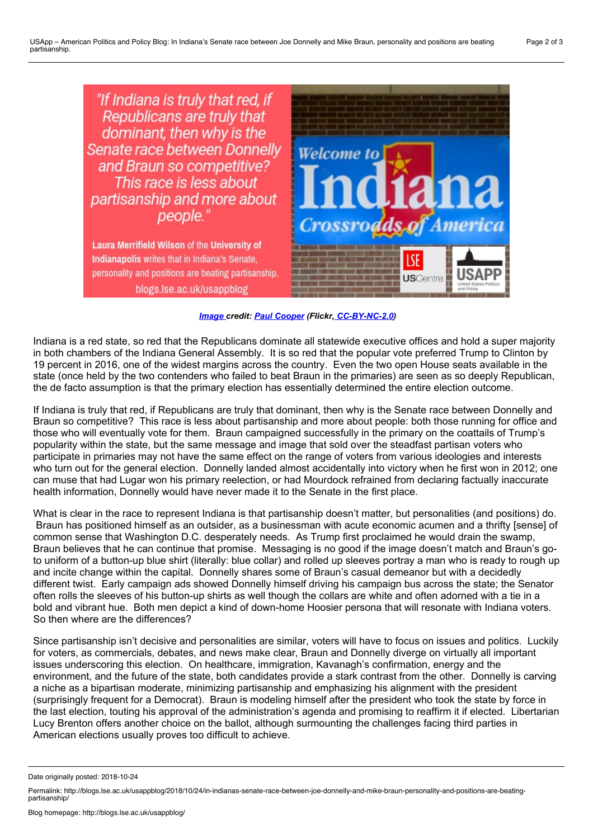

*[Image](https://www.flickr.com/photos/29261037@N02/15979726149/) credit: Paul [Cooper](https://www.flickr.com/photos/29261037@N02/) (Flickr, [CC-BY-NC-2.0\)](https://creativecommons.org/licenses/by-nc/2.0/)*

Indiana is a red state, so red that the Republicans dominate all statewide executive offices and hold a super majority in both chambers of the Indiana General Assembly. It is so red that the popular vote preferred Trump to Clinton by 19 percent in 2016, one of the widest margins across the country. Even the two open House seats available in the state (once held by the two contenders who failed to beat Braun in the primaries) are seen as so deeply Republican, the de facto assumption is that the primary election has essentially determined the entire election outcome.

If Indiana is truly that red, if Republicans are truly that dominant, then why is the Senate race between Donnelly and Braun so competitive? This race is less about partisanship and more about people: both those running for office and those who will eventually vote for them. Braun campaigned successfully in the primary on the coattails of Trump's popularity within the state, but the same message and image that sold over the steadfast partisan voters who participate in primaries may not have the same effect on the range of voters from various ideologies and interests who turn out for the general election. Donnelly landed almost accidentally into victory when he first won in 2012; one can muse that had Lugar won his primary reelection, or had Mourdock refrained from declaring factually inaccurate health information, Donnelly would have never made it to the Senate in the first place.

What is clear in the race to represent Indiana is that partisanship doesn't matter, but personalities (and positions) do. Braun has positioned himself as an outsider, as a businessman with acute economic acumen and a thrifty [sense] of common sense that Washington D.C. desperately needs. As Trump first proclaimed he would drain the swamp, Braun believes that he can continue that promise. Messaging is no good if the image doesn't match and Braun's goto uniform of a button-up blue shirt (literally: blue collar) and rolled up sleeves portray a man who is ready to rough up and incite change within the capital. Donnelly shares some of Braun's casual demeanor but with a decidedly different twist. Early campaign ads showed Donnelly himself driving his campaign bus across the state; the Senator often rolls the sleeves of his button-up shirts as well though the collars are white and often adorned with a tie in a bold and vibrant hue. Both men depict a kind of down-home Hoosier persona thatwill resonate with Indiana voters. So then where are the differences?

Since partisanship isn't decisive and personalities are similar, voters will have to focus on issues and politics. Luckily for voters, as commercials, debates, and news make clear, Braun and Donnelly diverge on virtually all important issues underscoring this election. On healthcare, immigration, Kavanagh's confirmation, energy and the environment, and the future of the state, both candidates provide a stark contrast from the other. Donnelly is carving a niche as a bipartisan moderate, minimizing partisanship and emphasizing his alignment with the president (surprisingly frequent for a Democrat). Braun is modeling himself after the president who took the state by force in the last election, touting his approval of the administration's agenda and promising to reaffirm it if elected. Libertarian Lucy Brenton offers another choice on the ballot, although surmounting the challenges facing third parties in American elections usually proves too difficult to achieve.

Date originally posted: 2018-10-24

Permalink: http://blogs.lse.ac.uk/usappblog/2018/10/24/in-indianas-senate-race-between-joe-donnelly-and-mike-braun-personality-and-positions-are-beating-<br>partisanship/